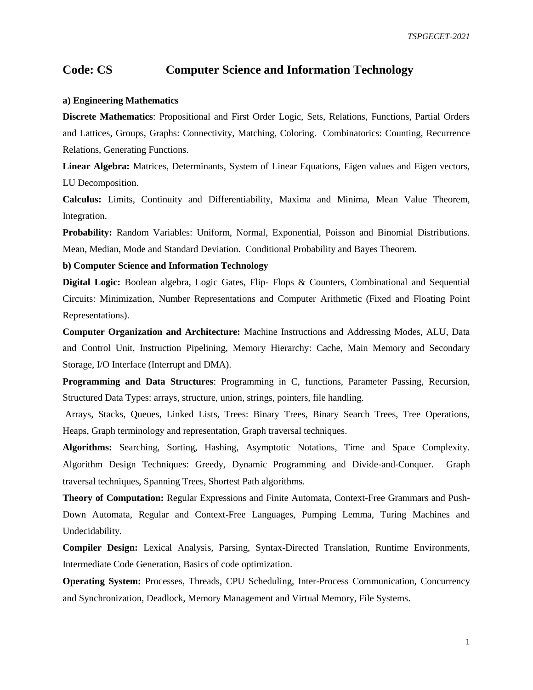## **Code: CS Computer Science and Information Technology**

## **a) Engineering Mathematics**

**Discrete Mathematics**: Propositional and First Order Logic, Sets, Relations, Functions, Partial Orders and Lattices, Groups, Graphs: Connectivity, Matching, Coloring. Combinatorics: Counting, Recurrence Relations, Generating Functions.

**Linear Algebra:** Matrices, Determinants, System of Linear Equations, Eigen values and Eigen vectors, LU Decomposition.

**Calculus:** Limits, Continuity and Differentiability, Maxima and Minima, Mean Value Theorem, Integration.

**Probability:** Random Variables: Uniform, Normal, Exponential, Poisson and Binomial Distributions. Mean, Median, Mode and Standard Deviation. Conditional Probability and Bayes Theorem.

**b) Computer Science and Information Technology** 

**Digital Logic:** Boolean algebra, Logic Gates, Flip- Flops & Counters, Combinational and Sequential Circuits: Minimization, Number Representations and Computer Arithmetic (Fixed and Floating Point Representations).

**Computer Organization and Architecture:** Machine Instructions and Addressing Modes, ALU, Data and Control Unit, Instruction Pipelining, Memory Hierarchy: Cache, Main Memory and Secondary Storage, I/O Interface (Interrupt and DMA).

**Programming and Data Structures**: Programming in C, functions, Parameter Passing, Recursion, Structured Data Types: arrays, structure, union, strings, pointers, file handling.

Arrays, Stacks, Queues, Linked Lists, Trees: Binary Trees, Binary Search Trees, Tree Operations, Heaps, Graph terminology and representation, Graph traversal techniques.

**Algorithms:** Searching, Sorting, Hashing, Asymptotic Notations, Time and Space Complexity. Algorithm Design Techniques: Greedy, Dynamic Programming and Divide‐and‐Conquer. Graph traversal techniques, Spanning Trees, Shortest Path algorithms.

**Theory of Computation:** Regular Expressions and Finite Automata, Context-Free Grammars and Push-Down Automata, Regular and Context-Free Languages, Pumping Lemma, Turing Machines and Undecidability.

**Compiler Design:** Lexical Analysis, Parsing, Syntax-Directed Translation, Runtime Environments, Intermediate Code Generation, Basics of code optimization.

**Operating System:** Processes, Threads, CPU Scheduling, Inter‐Process Communication, Concurrency and Synchronization, Deadlock, Memory Management and Virtual Memory, File Systems.